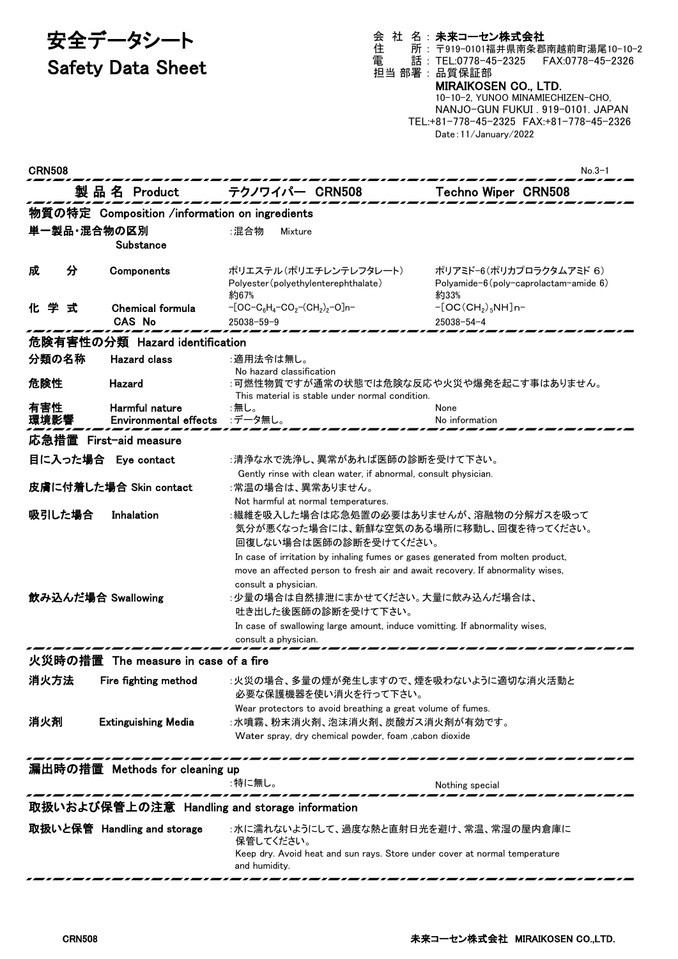# 安全データシート

# Safety Data Sheet

### 会 社 名 : 未来コーセン株式会社

住 所 : 〒919-0101福井県南条郡南越前町湯尾10-10-2 電 話 : TEL:0778-45-2325 FAX:0778-45-2326

### 担当 部署 : 品質保証部 MIRAIKOSEN CO., LTD.

10-10-2, YUNOO MINAMIECHIZEN-CHO, NANJO-GUN FUKUI . 919-0101. JAPAN TEL:+81-778-45-2325 FAX:+81-778-45-2326 Date:11/January/2022

| <b>CRN508</b>                                 |                                                |                                                                                                                                                                                                                                                       | $No.3-1$                                                                        |  |  |
|-----------------------------------------------|------------------------------------------------|-------------------------------------------------------------------------------------------------------------------------------------------------------------------------------------------------------------------------------------------------------|---------------------------------------------------------------------------------|--|--|
|                                               | 製品名 Product                                    | テクノワイパー CRN508                                                                                                                                                                                                                                        | <b>Techno Wiper CRN508</b>                                                      |  |  |
|                                               | 物質の特定 Composition /information on ingredients  |                                                                                                                                                                                                                                                       |                                                                                 |  |  |
| 単一製品・混合物の区別                                   | Substance                                      | :混合物<br>Mixture                                                                                                                                                                                                                                       |                                                                                 |  |  |
| 分<br>成                                        | Components                                     | ポリエステル(ポリエチレンテレフタレート)<br>Polyester (polyethylenterephthalate)<br>約67%                                                                                                                                                                                 | ポリアミド-6(ポリカプロラクタムアミド 6)<br>Polyamide- $6$ (poly-caprolactam-amide $6$ )<br>約33% |  |  |
| 化学<br>式                                       | <b>Chemical formula</b><br><b>CAS No</b>       | $-[OC-C_6H_4-CO_2-(CH_2)_2-O]n-$<br>$25038 - 59 - 9$                                                                                                                                                                                                  | $-[OC(CH2)5NH]n-$<br>$25038 - 54 - 4$                                           |  |  |
|                                               | 危険有害性の分類 Hazard identification                 |                                                                                                                                                                                                                                                       |                                                                                 |  |  |
| 分類の名称                                         | <b>Hazard class</b>                            | :適用法令は無し。<br>No hazard classification                                                                                                                                                                                                                 |                                                                                 |  |  |
| 危険性                                           | Hazard                                         | :可燃性物質ですが通常の状態では危険な反応や火災や爆発を起こす事はありません。<br>This material is stable under normal condition.                                                                                                                                                            |                                                                                 |  |  |
| 有害性<br>環境影響                                   | Harmful nature<br><b>Environmental effects</b> | :無し。<br>:データ無し。                                                                                                                                                                                                                                       | None<br>No information                                                          |  |  |
|                                               | 応急措置 First-aid measure                         |                                                                                                                                                                                                                                                       |                                                                                 |  |  |
|                                               | 目に入った場合 Eye contact                            | :清浄な水で洗浄し、異常があれば医師の診断を受けて下さい。<br>Gently rinse with clean water, if abnormal, consult physician.                                                                                                                                                       |                                                                                 |  |  |
|                                               | 皮膚に付着した場合 Skin contact                         | :常温の場合は、異常ありません。<br>Not harmful at normal temperatures.                                                                                                                                                                                               |                                                                                 |  |  |
| 吸引した場合                                        | Inhalation                                     | :繊維を吸入した場合は応急処置の必要はありませんが、溶融物の分解ガスを吸って<br>気分が悪くなった場合には、新鮮な空気のある場所に移動し、回復を待ってください。<br>回復しない場合は医師の診断を受けてください。                                                                                                                                           |                                                                                 |  |  |
| 飲み込んだ場合 Swallowing                            |                                                | In case of irritation by inhaling fumes or gases generated from molten product,<br>move an affected person to fresh air and await recovery. If abnormality wises,<br>consult a physician.<br>:少量の場合は自然排泄にまかせてください。大量に飲み込んだ場合は、<br>吐き出した後医師の診断を受けて下さい。 |                                                                                 |  |  |
|                                               |                                                | In case of swallowing large amount, induce vomitting. If abnormality wises,<br>consult a physician.                                                                                                                                                   |                                                                                 |  |  |
|                                               | 火災時の措置 The measure in case of a fire           |                                                                                                                                                                                                                                                       |                                                                                 |  |  |
| 消火方法                                          | Fire fighting method                           | :火災の場合、多量の煙が発生しますので、煙を吸わないように適切な消火活動と                                                                                                                                                                                                                 |                                                                                 |  |  |
|                                               |                                                | 必要な保護機器を使い消火を行って下さい。<br>Wear protectors to avoid breathing a great volume of fumes.                                                                                                                                                                   |                                                                                 |  |  |
| 消火剤                                           | <b>Extinguishing Media</b>                     | :水噴霧、粉末消火剤、泡沫消火剤、炭酸ガス消火剤が有効です。<br>Water spray, dry chemical powder, foam , cabon dioxide                                                                                                                                                              |                                                                                 |  |  |
| 漏出時の措置 Methods for cleaning up                |                                                |                                                                                                                                                                                                                                                       |                                                                                 |  |  |
|                                               |                                                | :特に無し。                                                                                                                                                                                                                                                | Nothing special                                                                 |  |  |
| 取扱いおよび保管上の注意 Handling and storage information |                                                |                                                                                                                                                                                                                                                       |                                                                                 |  |  |
|                                               | 取扱いと保管 Handling and storage                    | :水に濡れないようにして、過度な熱と直射日光を避け、常温、常湿の屋内倉庫に<br>保管してください。<br>Keep dry. Avoid heat and sun rays. Store under cover at normal temperature<br>and humidity.                                                                                                     |                                                                                 |  |  |
|                                               |                                                |                                                                                                                                                                                                                                                       |                                                                                 |  |  |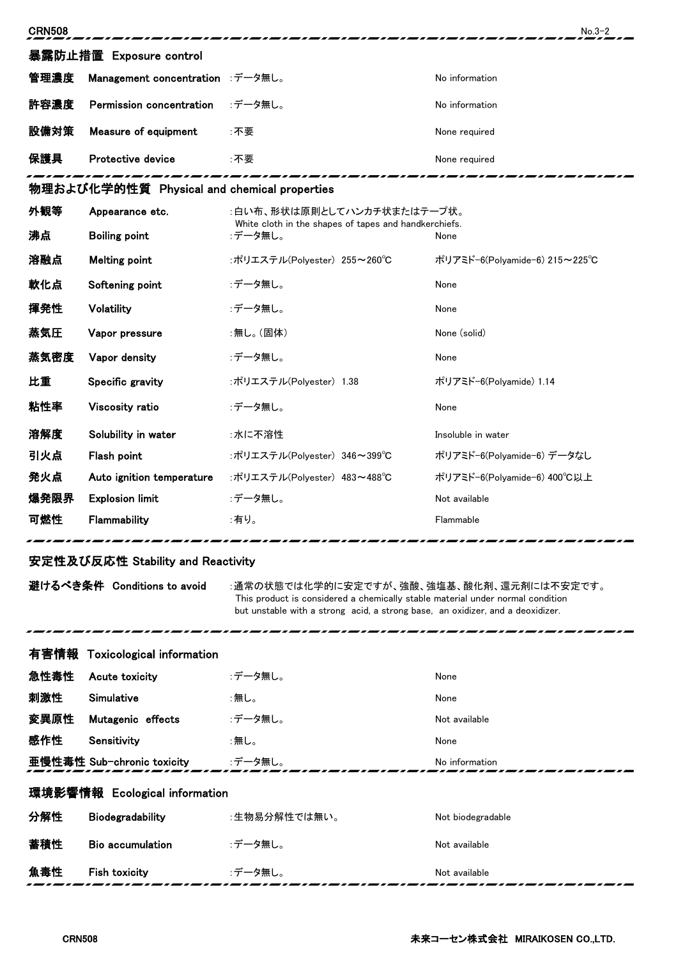| <b>CRN508</b>                     |                                             |                                                                                     | $No.3-2$                      |  |
|-----------------------------------|---------------------------------------------|-------------------------------------------------------------------------------------|-------------------------------|--|
| 暴露防止措置 Exposure control           |                                             |                                                                                     |                               |  |
| 管理濃度                              | Management concentration :データ無し。            |                                                                                     | No information                |  |
| 許容濃度                              | Permission concentration                    | :データ無し。                                                                             | No information                |  |
| 設備対策                              | Measure of equipment                        | :不要                                                                                 | None required                 |  |
| 保護具                               | Protective device                           | :不要                                                                                 | None required                 |  |
|                                   | 物理および化学的性質 Physical and chemical properties |                                                                                     |                               |  |
| 外観等                               | Appearance etc.                             | :白い布、形状は原則としてハンカチ状またはテープ状。<br>White cloth in the shapes of tapes and handkerchiefs. |                               |  |
| 沸点                                | <b>Boiling point</b>                        | :データ無し。                                                                             | None                          |  |
| 溶融点                               | <b>Melting point</b>                        | :ポリエステル(Polyester) 255~260℃                                                         | ポリアミド-6(Polyamide-6) 215~225℃ |  |
| 軟化点                               | Softening point                             | :データ無し。                                                                             | None                          |  |
| 揮発性                               | Volatility                                  | :データ無し。                                                                             | None                          |  |
| 蒸気圧                               | Vapor pressure                              | :無し。(固体)                                                                            | None (solid)                  |  |
| 蒸気密度                              | Vapor density                               | :データ無し。                                                                             | None                          |  |
| 比重                                | Specific gravity                            | :ポリエステル(Polyester) 1.38                                                             | ポリアミド-6(Polyamide) 1.14       |  |
| 粘性率                               | Viscosity ratio                             | :データ無し。                                                                             | None                          |  |
| 溶解度                               | Solubility in water                         | :水に不溶性                                                                              | Insoluble in water            |  |
| 引火点                               | Flash point                                 | :ポリエステル(Polyester) 346~399℃                                                         | ポリアミド-6(Polyamide-6) データなし    |  |
| 発火点                               | Auto ignition temperature                   | :ポリエステル(Polyester) 483~488℃                                                         | ポリアミド-6(Polyamide-6) 400℃以上   |  |
| 爆発限界                              | <b>Explosion limit</b>                      | :データ無し。                                                                             | Not available                 |  |
| 可燃性                               | Flammability                                | :有り。                                                                                | Flammable                     |  |
| 安定性及び反応性 Stability and Reactivity |                                             |                                                                                     |                               |  |

. . .

避けるべき条件 Conditions to avoid :通常の状態では化学的に安定ですが、強酸、強塩基、酸化剤、還元剤には不安定です。 This product is considered a chemically stable material under normal condition but unstable with a strong acid, a strong base, an oxidizer, and a deoxidizer.

|                               | 有害情報 Toxicological information |              |                   |  |
|-------------------------------|--------------------------------|--------------|-------------------|--|
| 急性毒性                          | Acute toxicity                 | :データ無し。      | None              |  |
| 刺激性                           | Simulative                     | :無し。         | None              |  |
| 変異原性                          | Mutagenic effects              | :データ無し。      | Not available     |  |
| 感作性                           | Sensitivity                    | :無し。         | None              |  |
|                               | 亜慢性毒性 Sub-chronic toxicity     | :データ無し。      | No information    |  |
| 環境影響情報 Ecological information |                                |              |                   |  |
| 分解性                           | Biodegradability               | :生物易分解性では無い。 | Not biodegradable |  |
| 蓄積性                           | <b>Bio accumulation</b>        | :データ無し。      | Not available     |  |
| 魚毒性                           | <b>Fish toxicity</b>           | :データ無し。      | Not available     |  |

د پ

-------